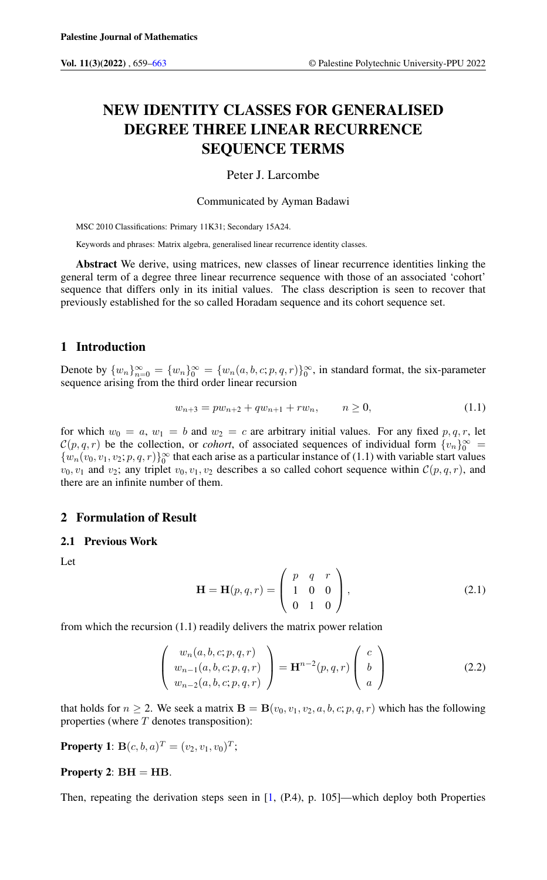# NEW IDENTITY CLASSES FOR GENERALISED DEGREE THREE LINEAR RECURRENCE SEQUENCE TERMS

#### Peter J. Larcombe

Communicated by Ayman Badawi

MSC 2010 Classifications: Primary 11K31; Secondary 15A24.

Keywords and phrases: Matrix algebra, generalised linear recurrence identity classes.

Abstract We derive, using matrices, new classes of linear recurrence identities linking the general term of a degree three linear recurrence sequence with those of an associated 'cohort' sequence that differs only in its initial values. The class description is seen to recover that previously established for the so called Horadam sequence and its cohort sequence set.

# 1 Introduction

Denote by  ${w_n}_{n=0}^{\infty} = {w_n}_{0}^{\infty} = {w_n(a, b, c; p, q, r)}_0^{\infty}$ , in standard format, the six-parameter sequence arising from the third order linear recursion

$$
w_{n+3} = pw_{n+2} + qw_{n+1} + rw_n, \qquad n \ge 0,
$$
\n
$$
(1.1)
$$

for which  $w_0 = a$ ,  $w_1 = b$  and  $w_2 = c$  are arbitrary initial values. For any fixed p, q, r, let  $\mathcal{C}(p,q,r)$  be the collection, or *cohort*, of associated sequences of individual form  $\{v_n\}_{0}^{\infty}$  $\{w_n(v_0, v_1, v_2; p, q, r)\}\_0^\infty$  that each arise as a particular instance of (1.1) with variable start values  $v_0, v_1$  and  $v_2$ ; any triplet  $v_0, v_1, v_2$  describes a so called cohort sequence within  $\mathcal{C}(p, q, r)$ , and there are an infinite number of them.

## 2 Formulation of Result

#### 2.1 Previous Work

Let

$$
\mathbf{H} = \mathbf{H}(p, q, r) = \begin{pmatrix} p & q & r \\ 1 & 0 & 0 \\ 0 & 1 & 0 \end{pmatrix},
$$
 (2.1)

from which the recursion (1.1) readily delivers the matrix power relation

$$
\begin{pmatrix} w_n(a, b, c; p, q, r) \\ w_{n-1}(a, b, c; p, q, r) \\ w_{n-2}(a, b, c; p, q, r) \end{pmatrix} = \mathbf{H}^{n-2}(p, q, r) \begin{pmatrix} c \\ b \\ a \end{pmatrix}
$$
 (2.2)

that holds for  $n \ge 2$ . We seek a matrix  $\mathbf{B} = \mathbf{B}(v_0, v_1, v_2, a, b, c; p, q, r)$  which has the following properties (where  $T$  denotes transposition):

**Property 1:**  $B(c, b, a)^T = (v_2, v_1, v_0)^T;$ 

#### Property 2:  $BH = HB$ .

Then, repeating the derivation steps seen in [\[1,](#page-4-1) (P.4), p. 105]—which deploy both Properties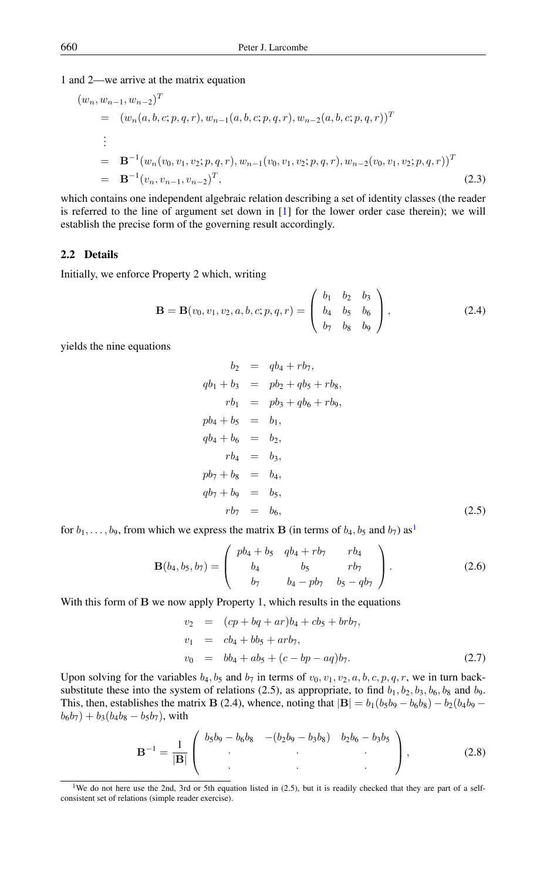1 and 2—we arrive at the matrix equation

$$
(w_n, w_{n-1}, w_{n-2})^T
$$
  
=  $(w_n(a, b, c; p, q, r), w_{n-1}(a, b, c; p, q, r), w_{n-2}(a, b, c; p, q, r))^T$   
:  
=  $\mathbf{B}^{-1}(w_n(v_0, v_1, v_2; p, q, r), w_{n-1}(v_0, v_1, v_2; p, q, r), w_{n-2}(v_0, v_1, v_2; p, q, r))^T$   
=  $\mathbf{B}^{-1}(v_n, v_{n-1}, v_{n-2})^T$ , (2.3)

which contains one independent algebraic relation describing a set of identity classes (the reader is referred to the line of argument set down in  $[1]$  for the lower order case therein); we will establish the precise form of the governing result accordingly.

#### 2.2 Details

Initially, we enforce Property 2 which, writing

$$
\mathbf{B} = \mathbf{B}(v_0, v_1, v_2, a, b, c; p, q, r) = \begin{pmatrix} b_1 & b_2 & b_3 \ b_4 & b_5 & b_6 \ b_7 & b_8 & b_9 \end{pmatrix},
$$
(2.4)

yields the nine equations

$$
b_2 = qb_4 + rb_7,
$$
  
\n
$$
qb_1 + b_3 = pb_2 + qb_5 + rb_8,
$$
  
\n
$$
rb_1 = pb_3 + qb_6 + rb_9,
$$
  
\n
$$
pb_4 + b_5 = b_1,
$$
  
\n
$$
qb_4 + b_6 = b_2,
$$
  
\n
$$
rb_4 = b_3,
$$
  
\n
$$
pb_7 + b_8 = b_4,
$$
  
\n
$$
qb_7 + b_9 = b_5,
$$
  
\n
$$
rb_7 = b_6,
$$
\n(2.5)

for  $b_1, \ldots, b_9$  $b_1, \ldots, b_9$  $b_1, \ldots, b_9$ , from which we express the matrix **B** (in terms of  $b_4, b_5$  and  $b_7$ ) as<sup>1</sup>

$$
\mathbf{B}(b_4, b_5, b_7) = \begin{pmatrix} pb_4 + b_5 & qb_4 + rb_7 & rb_4 \\ b_4 & b_5 & rb_7 \\ b_7 & b_4 - pb_7 & b_5 - qb_7 \end{pmatrix}.
$$
 (2.6)

With this form of B we now apply Property 1, which results in the equations

$$
v_2 = (cp + bq + ar)b_4 + cb_5 + brb_7,
$$
  
\n
$$
v_1 = cb_4 + bb_5 + arb_7,
$$
  
\n
$$
v_0 = bb_4 + ab_5 + (c - bp - aq)b_7.
$$
\n(2.7)

Upon solving for the variables  $b_4$ ,  $b_5$  and  $b_7$  in terms of  $v_0$ ,  $v_1$ ,  $v_2$ ,  $a$ ,  $b$ ,  $c$ ,  $p$ ,  $q$ ,  $r$ , we in turn backsubstitute these into the system of relations (2.5), as appropriate, to find  $b_1$ ,  $b_2$ ,  $b_3$ ,  $b_6$ ,  $b_8$  and  $b_9$ . This, then, establishes the matrix B (2.4), whence, noting that  $|B| = b_1(b_5b_9 - b_6b_8) - b_2(b_4b_9 - b_6b_9)$  $b_6b_7$ ) +  $b_3(b_4b_8 - b_5b_7)$ , with

$$
\mathbf{B}^{-1} = \frac{1}{|\mathbf{B}|} \begin{pmatrix} b_5b_9 - b_6b_8 & -(b_2b_9 - b_3b_8) & b_2b_6 - b_3b_5 \\ . & . & . \\ . & . & . \end{pmatrix}, \tag{2.8}
$$

<span id="page-1-0"></span><sup>&</sup>lt;sup>1</sup>We do not here use the 2nd, 3rd or 5th equation listed in (2.5), but it is readily checked that they are part of a selfconsistent set of relations (simple reader exercise).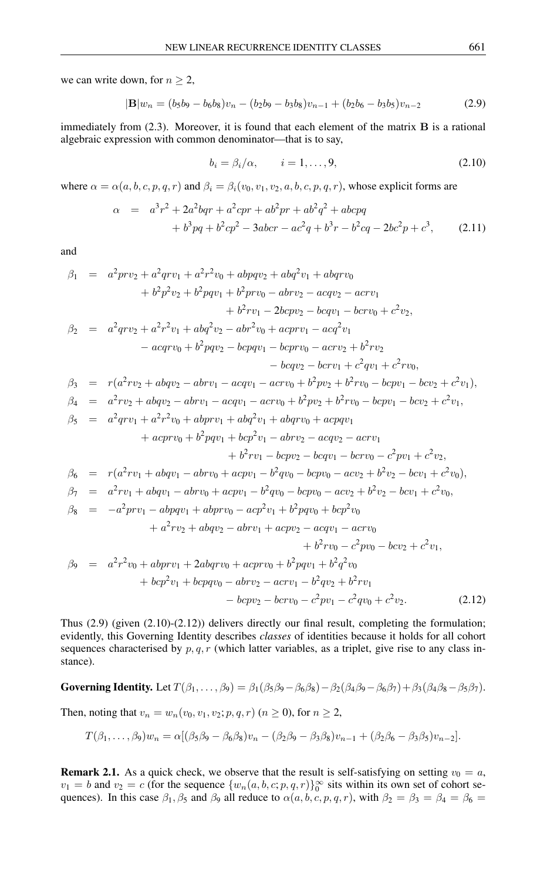we can write down, for  $n \geq 2$ ,

$$
|\mathbf{B}|w_n = (b_5b_9 - b_6b_8)v_n - (b_2b_9 - b_3b_8)v_{n-1} + (b_2b_6 - b_3b_5)v_{n-2}
$$
 (2.9)

immediately from  $(2.3)$ . Moreover, it is found that each element of the matrix  $\bf{B}$  is a rational algebraic expression with common denominator—that is to say,

$$
b_i = \beta_i/\alpha, \qquad i = 1, \dots, 9,
$$
\n
$$
(2.10)
$$

where  $\alpha = \alpha(a, b, c, p, q, r)$  and  $\beta_i = \beta_i(v_0, v_1, v_2, a, b, c, p, q, r)$ , whose explicit forms are

$$
\alpha = a^{3}r^{2} + 2a^{2}bqr + a^{2}cpr + ab^{2}pr + ab^{2}q^{2} + abcpq
$$
  
+  $b^{3}pq + b^{2}cp^{2} - 3abcr - ac^{2}q + b^{3}r - b^{2}cq - 2bc^{2}p + c^{3}$ , (2.11)

and

$$
\beta_1 = a^2prv_2 + a^2qv_1 + a^2r^2v_0 + abpqv_2 + abq^2v_1 + abqrv_0 \n+ b^2p^2v_2 + b^2pqv_1 + b^2prv_0 - abrv_2 - acqv_2 - acrv_1 \n+ b^2rv_1 - 2bcpv_2 - bcqv_1 - bcrv_0 + c^2v_2,
$$
\n
$$
\beta_2 = a^2qv_2 + a^2r^2v_1 + abq^2v_2 - abr^2v_0 + acprv_1 - acq^2v_1 \n- acqrv_0 + b^2pqv_2 - bcpqv_1 - bcrrv_0 - acrv_2 + b^2rv_2 \n- bcqv_2 - bcrv_1 + c^2qv_1 + c^2rv_0,
$$
\n
$$
\beta_3 = r(a^2rv_2 + abqv_2 - abrv_1 - acqv_1 - acrv_0 + b^2pv_2 + b^2rv_0 - bcpv_1 - bcv_2 + c^2v_1),
$$
\n
$$
\beta_4 = a^2rv_2 + abqv_2 - abrv_1 - acrv_0 + b^2pv_2 + b^2rv_0 - bcpv_1 - bcv_2 + c^2v_1,
$$
\n
$$
\beta_5 = a^2qrv_1 + a^2r^2v_0 + abprv_1 + abq^2v_1 + abqrv_0 + acpqv_1 \n+ acprv_0 + b^2pqv_1 + bcp^2v_1 - abrv_2 - acqv_2 - acrv_1 \n+ b^2rv_1 - bcpv_2 - bcqv_1 - bcrv_0 - c^2pv_1 + c^2v_2,
$$
\n
$$
\beta_6 = r(a^2rv_1 + abqv_1 - abrv_0 + acpv_1 - b^2qv_0 - bcpv_0 - acv_2 + b^2v_2 - bcv_1 + c^2v_0),
$$
\n
$$
\beta_7 = a^2rv_1 + abqv_1 - abrv_0 + acpv_1 - b^2qv_0 - bcpv_0 - acv_2 + b^2v_2 - bcv_1 + c^2v_0,
$$
\n
$$
\beta_8 = -a^2prv_1 - abprv_1 + acpv_0 - acp^2v_1 + b^2pqv_0 + bcp^2v_0 \n+ a^2rv_2 + abqv_
$$

Thus  $(2.9)$  (given  $(2.10)-(2.12)$ ) delivers directly our final result, completing the formulation; evidently, this Governing Identity describes *classes* of identities because it holds for all cohort sequences characterised by  $p, q, r$  (which latter variables, as a triplet, give rise to any class instance).

# Governing Identity. Let  $T(\beta_1, \ldots, \beta_9) = \beta_1(\beta_5\beta_9 - \beta_6\beta_8) - \beta_2(\beta_4\beta_9 - \beta_6\beta_7) + \beta_3(\beta_4\beta_8 - \beta_5\beta_7).$

Then, noting that  $v_n = w_n(v_0, v_1, v_2; p, q, r)$   $(n \ge 0)$ , for  $n \ge 2$ ,

$$
T(\beta_1,\ldots,\beta_9)w_n = \alpha[(\beta_5\beta_9 - \beta_6\beta_8)v_n - (\beta_2\beta_9 - \beta_3\beta_8)v_{n-1} + (\beta_2\beta_6 - \beta_3\beta_5)v_{n-2}].
$$

**Remark 2.1.** As a quick check, we observe that the result is self-satisfying on setting  $v_0 = a$ ,  $v_1 = b$  and  $v_2 = c$  (for the sequence  $\{w_n(a, b, c; p, q, r)\}\_0^\infty$  sits within its own set of cohort sequences). In this case  $\beta_1$ ,  $\beta_5$  and  $\beta_9$  all reduce to  $\alpha(a, b, c, p, q, r)$ , with  $\beta_2 = \beta_3 = \beta_4 = \beta_6 =$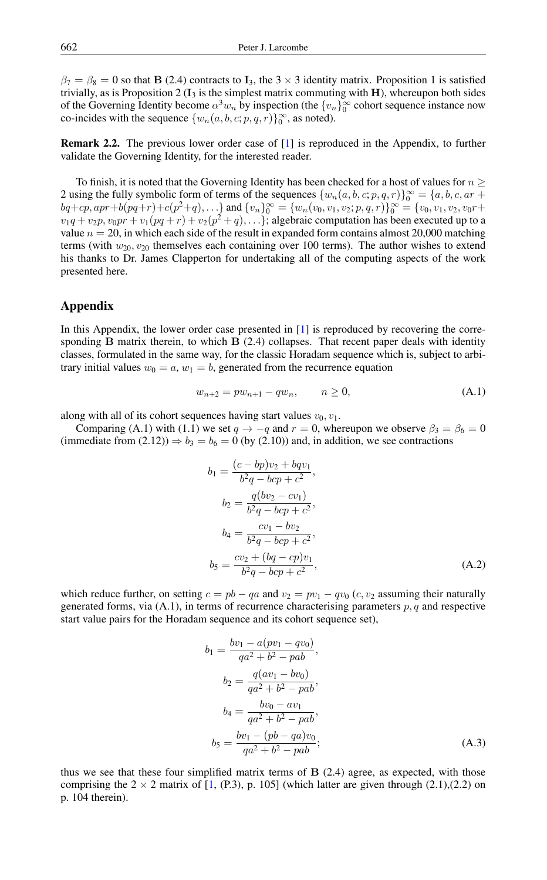$\beta_7 = \beta_8 = 0$  so that B (2.4) contracts to I<sub>3</sub>, the 3  $\times$  3 identity matrix. Proposition 1 is satisfied trivially, as is Proposition 2 ( $I_3$  is the simplest matrix commuting with H), whereupon both sides of the Governing Identity become  $\alpha^3 w_n$  by inspection (the  $\{v_n\}_0^{\infty}$  cohort sequence instance now co-incides with the sequence  $\{w_n(a, b, c; p, q, r)\}_0^{\infty}$ , as noted).

Remark 2.2. The previous lower order case of [\[1\]](#page-4-1) is reproduced in the Appendix, to further validate the Governing Identity, for the interested reader.

To finish, it is noted that the Governing Identity has been checked for a host of values for  $n \geq 1$ 2 using the fully symbolic form of terms of the sequences  $\{w_n(a, b, c; p, q, r)\}_{0}^{\infty} = \{a, b, c, ar +$  $bq+cp, apr+b(pq+r)+c(p^2+q), \ldots\}$  and  $\{v_n\}_0^{\infty} = \{w_n(v_0, v_1, v_2; p, q, r)\}_0^{\infty} = \{v_0, v_1, v_2, v_0r+q^2, v_1r+q^2, v_2r+q^2, v_1r+q^2, v_2r+q^2, v_1r+q^2, v_1r+q^2, v_1r+q^2, v_1r+q^2, v_1r+q^2, v_1r+q^2, v_1r+q^2, v_1r+q^2, v_1r+q^2, v_1r+q^$  $v_1q + v_2p, v_0pr + v_1(pq + r) + v_2(p^2 + q), \ldots$ }; algebraic computation has been executed up to a value  $n = 20$ , in which each side of the result in expanded form contains almost 20,000 matching terms (with  $w_{20}$ ,  $v_{20}$  themselves each containing over 100 terms). The author wishes to extend his thanks to Dr. James Clapperton for undertaking all of the computing aspects of the work presented here.

### Appendix

In this Appendix, the lower order case presented in [\[1\]](#page-4-1) is reproduced by recovering the corresponding  $\bf{B}$  matrix therein, to which  $\bf{B}$  (2.4) collapses. That recent paper deals with identity classes, formulated in the same way, for the classic Horadam sequence which is, subject to arbitrary initial values  $w_0 = a$ ,  $w_1 = b$ , generated from the recurrence equation

$$
w_{n+2} = pw_{n+1} - qw_n, \qquad n \ge 0,
$$
\n(A.1)

along with all of its cohort sequences having start values  $v_0, v_1$ .

Comparing (A.1) with (1.1) we set  $q \to -q$  and  $r = 0$ , whereupon we observe  $\beta_3 = \beta_6 = 0$ (immediate from  $(2.12)$ )  $\Rightarrow$   $b_3 = b_6 = 0$  (by  $(2.10)$ ) and, in addition, we see contractions

$$
b_1 = \frac{(c - bp)v_2 + bqv_1}{b^2q - bcp + c^2},
$$
  
\n
$$
b_2 = \frac{q(bv_2 - cv_1)}{b^2q - bcp + c^2},
$$
  
\n
$$
b_4 = \frac{cv_1 - bv_2}{b^2q - bcp + c^2},
$$
  
\n
$$
b_5 = \frac{cv_2 + (bq - cp)v_1}{b^2q - bcp + c^2},
$$
  
\n(A.2)

which reduce further, on setting  $c = pb - qa$  and  $v_2 = pv_1 - qv_0$  (c,  $v_2$  assuming their naturally generated forms, via  $(A.1)$ , in terms of recurrence characterising parameters  $p, q$  and respective start value pairs for the Horadam sequence and its cohort sequence set),

$$
b_1 = \frac{bv_1 - a(pv_1 - qv_0)}{qa^2 + b^2 - pab},
$$
  
\n
$$
b_2 = \frac{q(av_1 - bv_0)}{qa^2 + b^2 - pab},
$$
  
\n
$$
b_4 = \frac{bv_0 - av_1}{qa^2 + b^2 - pab},
$$
  
\n
$$
b_5 = \frac{bv_1 - (pb - qa)v_0}{qa^2 + b^2 - pab};
$$
  
\n(A.3)

thus we see that these four simplified matrix terms of  $B(2.4)$  agree, as expected, with those comprising the  $2 \times 2$  matrix of [\[1,](#page-4-1) (P.3), p. 105] (which latter are given through (2.1),(2.2) on p. 104 therein).